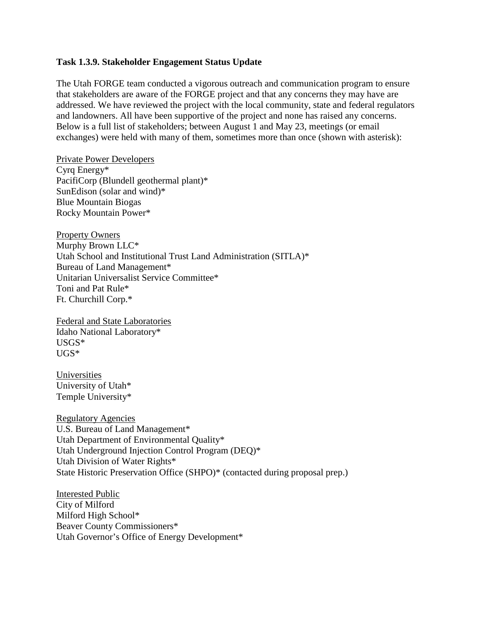## **Task 1.3.9. Stakeholder Engagement Status Update**

The Utah FORGE team conducted a vigorous outreach and communication program to ensure that stakeholders are aware of the FORGE project and that any concerns they may have are addressed. We have reviewed the project with the local community, state and federal regulators and landowners. All have been supportive of the project and none has raised any concerns. Below is a full list of stakeholders; between August 1 and May 23, meetings (or email exchanges) were held with many of them, sometimes more than once (shown with asterisk):

Private Power Developers Cyrq Energy\* PacifiCorp (Blundell geothermal plant)\* SunEdison (solar and wind)\* Blue Mountain Biogas Rocky Mountain Power\*

Property Owners Murphy Brown LLC\* Utah School and Institutional Trust Land Administration (SITLA)\* Bureau of Land Management\* Unitarian Universalist Service Committee\* Toni and Pat Rule\* Ft. Churchill Corp.\*

Federal and State Laboratories Idaho National Laboratory\* USGS\* UGS\*

Universities University of Utah\* Temple University\*

Regulatory Agencies U.S. Bureau of Land Management\* Utah Department of Environmental Quality\* Utah Underground Injection Control Program (DEQ)\* Utah Division of Water Rights\* State Historic Preservation Office (SHPO)\* (contacted during proposal prep.)

Interested Public City of Milford Milford High School\* Beaver County Commissioners\* Utah Governor's Office of Energy Development\*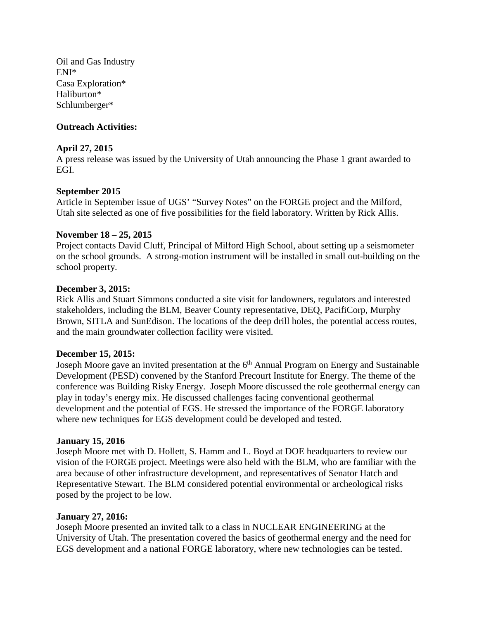Oil and Gas Industry ENI\* Casa Exploration\* Haliburton\* Schlumberger\*

# **Outreach Activities:**

## **April 27, 2015**

A press release was issued by the University of Utah announcing the Phase 1 grant awarded to EGI.

## **September 2015**

Article in September issue of UGS' "Survey Notes" on the FORGE project and the Milford, Utah site selected as one of five possibilities for the field laboratory. Written by Rick Allis.

#### **November 18 – 25, 2015**

Project contacts David Cluff, Principal of Milford High School, about setting up a seismometer on the school grounds. A strong-motion instrument will be installed in small out-building on the school property.

#### **December 3, 2015:**

Rick Allis and Stuart Simmons conducted a site visit for landowners, regulators and interested stakeholders, including the BLM, Beaver County representative, DEQ, PacifiCorp, Murphy Brown, SITLA and SunEdison. The locations of the deep drill holes, the potential access routes, and the main groundwater collection facility were visited.

#### **December 15, 2015:**

Joseph Moore gave an invited presentation at the  $6<sup>th</sup>$  Annual Program on Energy and Sustainable Development (PESD) convened by the Stanford Precourt Institute for Energy. The theme of the conference was Building Risky Energy. Joseph Moore discussed the role geothermal energy can play in today's energy mix. He discussed challenges facing conventional geothermal development and the potential of EGS. He stressed the importance of the FORGE laboratory where new techniques for EGS development could be developed and tested.

#### **January 15, 2016**

Joseph Moore met with D. Hollett, S. Hamm and L. Boyd at DOE headquarters to review our vision of the FORGE project. Meetings were also held with the BLM, who are familiar with the area because of other infrastructure development, and representatives of Senator Hatch and Representative Stewart. The BLM considered potential environmental or archeological risks posed by the project to be low.

#### **January 27, 2016:**

Joseph Moore presented an invited talk to a class in NUCLEAR ENGINEERING at the University of Utah. The presentation covered the basics of geothermal energy and the need for EGS development and a national FORGE laboratory, where new technologies can be tested.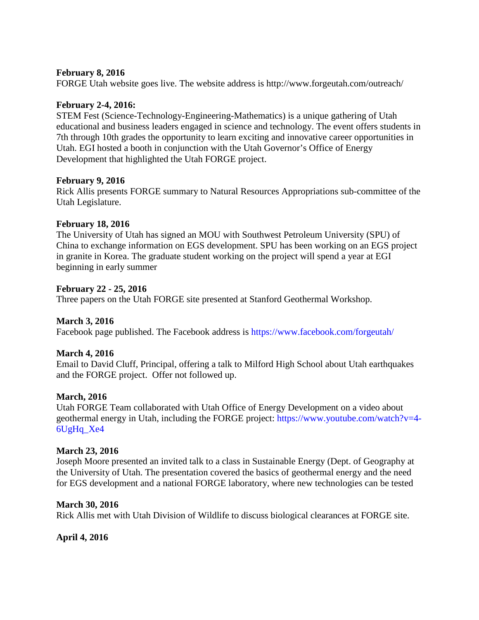## **February 8, 2016**

FORGE Utah website goes live. The website address is http://www.forgeutah.com/outreach/

# **February 2-4, 2016:**

STEM Fest (Science-Technology-Engineering-Mathematics) is a unique gathering of Utah educational and business leaders engaged in science and technology. The event offers students in 7th through 10th grades the opportunity to learn exciting and innovative career opportunities in Utah. EGI hosted a booth in conjunction with the Utah Governor's Office of Energy Development that highlighted the Utah FORGE project.

## **February 9, 2016**

Rick Allis presents FORGE summary to Natural Resources Appropriations sub-committee of the Utah Legislature.

# **February 18, 2016**

The University of Utah has signed an MOU with Southwest Petroleum University (SPU) of China to exchange information on EGS development. SPU has been working on an EGS project in granite in Korea. The graduate student working on the project will spend a year at EGI beginning in early summer

# **February 22 - 25, 2016**

Three papers on the Utah FORGE site presented at Stanford Geothermal Workshop.

# **March 3, 2016**

Facebook page published. The Facebook address is<https://www.facebook.com/forgeutah/>

# **March 4, 2016**

Email to David Cluff, Principal, offering a talk to Milford High School about Utah earthquakes and the FORGE project. Offer not followed up.

## **March, 2016**

Utah FORGE Team collaborated with Utah Office of Energy Development on a video about geothermal energy in Utah, including the FORGE project: [https://www.youtube.com/watch?v=4-](https://www.youtube.com/watch?v=4-6UgHq_Xe4) [6UgHq\\_Xe4](https://www.youtube.com/watch?v=4-6UgHq_Xe4)

## **March 23, 2016**

Joseph Moore presented an invited talk to a class in Sustainable Energy (Dept. of Geography at the University of Utah. The presentation covered the basics of geothermal energy and the need for EGS development and a national FORGE laboratory, where new technologies can be tested

## **March 30, 2016**

Rick Allis met with Utah Division of Wildlife to discuss biological clearances at FORGE site.

# **April 4, 2016**